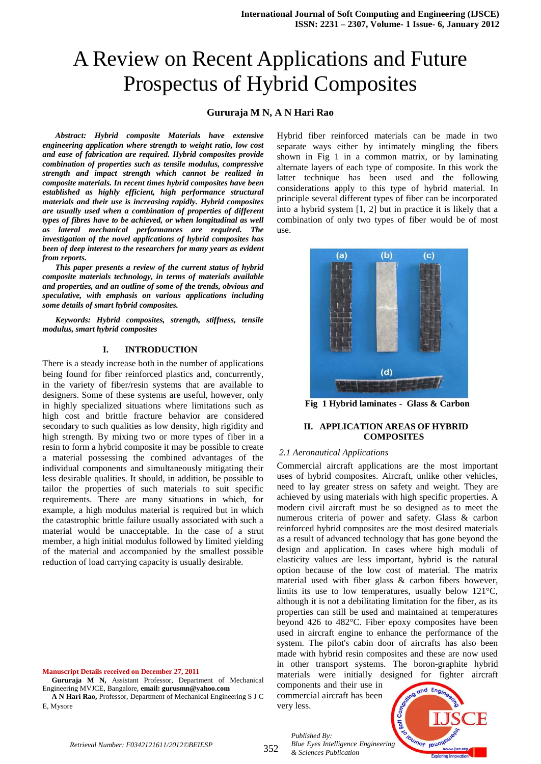# A Review on Recent Applications and Future Prospectus of Hybrid Composites

## **Gururaja M N, A N Hari Rao**

*Abstract: Hybrid composite Materials have extensive engineering application where strength to weight ratio, low cost and ease of fabrication are required. Hybrid composites provide combination of properties such as tensile modulus, compressive strength and impact strength which cannot be realized in composite materials. In recent times hybrid composites have been established as highly efficient, high performance structural materials and their use is increasing rapidly. Hybrid composites are usually used when a combination of properties of different types of fibres have to be achieved, or when longitudinal as well as lateral mechanical performances are required. The investigation of the novel applications of hybrid composites has been of deep interest to the researchers for many years as evident from reports.* 

*This paper presents a review of the current status of hybrid composite materials technology, in terms of materials available and properties, and an outline of some of the trends, obvious and speculative, with emphasis on various applications including some details of smart hybrid composites.*

*Keywords: Hybrid composites, strength, stiffness, tensile modulus, smart hybrid composites*

## **I. INTRODUCTION**

There is a steady increase both in the number of applications being found for fiber reinforced plastics and, concurrently, in the variety of fiber/resin systems that are available to designers. Some of these systems are useful, however, only in highly specialized situations where limitations such as high cost and brittle fracture behavior are considered secondary to such qualities as low density, high rigidity and high strength. By mixing two or more types of fiber in a resin to form a hybrid composite it may be possible to create a material possessing the combined advantages of the individual components and simultaneously mitigating their less desirable qualities. It should, in addition, be possible to tailor the properties of such materials to suit specific requirements. There are many situations in which, for example, a high modulus material is required but in which the catastrophic brittle failure usually associated with such a material would be unacceptable. In the case of a strut member, a high initial modulus followed by limited yielding of the material and accompanied by the smallest possible reduction of load carrying capacity is usually desirable.

**Manuscript Details received on December 27, 2011**

**Gururaja M N,** Assistant Professor, Department of Mechanical Engineering MVJCE, Bangalore, **email: gurusmn@yahoo.com**

**A N Hari Rao,** Professor, Department of Mechanical Engineering S J C E, Mysore

Hybrid fiber reinforced materials can be made in two separate ways either by intimately mingling the fibers shown in Fig 1 in a common matrix, or by laminating alternate layers of each type of composite. In this work the latter technique has been used and the following considerations apply to this type of hybrid material. In principle several different types of fiber can be incorporated into a hybrid system [1, 2] but in practice it is likely that a combination of only two types of fiber would be of most use.



**Fig 1 Hybrid laminates - Glass & Carbon**

## **II. APPLICATION AREAS OF HYBRID COMPOSITES**

#### *2.1 Aeronautical Applications*

Commercial aircraft applications are the most important uses of hybrid composites. Aircraft, unlike other vehicles, need to lay greater stress on safety and weight. They are achieved by using materials with high specific properties. A modern civil aircraft must be so designed as to meet the numerous criteria of power and safety. Glass & carbon reinforced hybrid composites are the most desired materials as a result of advanced technology that has gone beyond the design and application. In cases where high moduli of elasticity values are less important, hybrid is the natural option because of the low cost of material. The matrix material used with fiber glass & carbon fibers however, limits its use to low temperatures, usually below 121°C, although it is not a debilitating limitation for the fiber, as its properties can still be used and maintained at temperatures beyond 426 to 482°C. Fiber epoxy composites have been used in aircraft engine to enhance the performance of the system. The pilot's cabin door of aircrafts has also been made with hybrid resin composites and these are now used in other transport systems. The boron-graphite hybrid materials were initially designed for fighter aircraft

components and their use in commercial aircraft has been very less.

*& Sciences Publication* 

*Published By:*

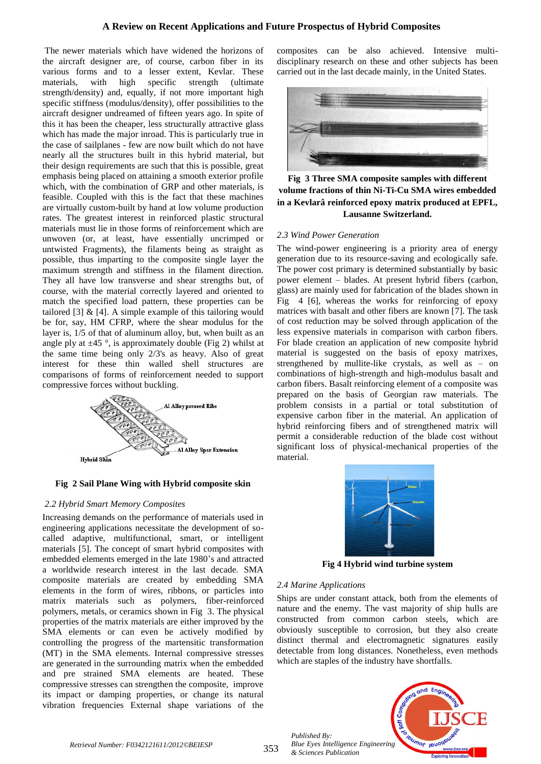## **A Review on Recent Applications and Future Prospectus of Hybrid Composites**

The newer materials which have widened the horizons of the aircraft designer are, of course, carbon fiber in its various forms and to a lesser extent, Kevlar. These materials, with high specific strength (ultimate strength/density) and, equally, if not more important high specific stiffness (modulus/density), offer possibilities to the aircraft designer undreamed of fifteen years ago. In spite of this it has been the cheaper, less structurally attractive glass which has made the major inroad. This is particularly true in the case of sailplanes - few are now built which do not have nearly all the structures built in this hybrid material, but their design requirements are such that this is possible, great emphasis being placed on attaining a smooth exterior profile which, with the combination of GRP and other materials, is feasible. Coupled with this is the fact that these machines are virtually custom-built by hand at low volume production rates. The greatest interest in reinforced plastic structural materials must lie in those forms of reinforcement which are unwoven (or, at least, have essentially uncrimped or untwisted Fragments), the filaments being as straight as possible, thus imparting to the composite single layer the maximum strength and stiffness in the filament direction. They all have low transverse and shear strengths but, of course, with the material correctly layered and oriented to match the specified load pattern, these properties can be tailored  $[3]$  &  $[4]$ . A simple example of this tailoring would be for, say, HM CFRP, where the shear modulus for the layer is, 1/5 of that of aluminum alloy, but, when built as an angle ply at  $\pm$ 45 °, is approximately double (Fig 2) whilst at the same time being only 2/3's as heavy. Also of great interest for these thin walled shell structures are comparisons of forms of reinforcement needed to support compressive forces without buckling.



#### **Fig 2 Sail Plane Wing with Hybrid composite skin**

#### *2.2 Hybrid Smart Memory Composites*

Increasing demands on the performance of materials used in engineering applications necessitate the development of socalled adaptive, multifunctional, smart, or intelligent materials [5]. The concept of smart hybrid composites with embedded elements emerged in the late 1980's and attracted a worldwide research interest in the last decade. SMA composite materials are created by embedding SMA elements in the form of wires, ribbons, or particles into matrix materials such as polymers, fiber-reinforced polymers, metals, or ceramics shown in Fig 3. The physical properties of the matrix materials are either improved by the SMA elements or can even be actively modified by controlling the progress of the martensitic transformation (MT) in the SMA elements. Internal compressive stresses are generated in the surrounding matrix when the embedded and pre strained SMA elements are heated. These compressive stresses can strengthen the composite, improve its impact or damping properties, or change its natural vibration frequencies External shape variations of the

composites can be also achieved. Intensive multidisciplinary research on these and other subjects has been carried out in the last decade mainly, in the United States.



**Fig 3 Three SMA composite samples with different volume fractions of thin Ni-Ti-Cu SMA wires embedded in a Kevlarâ reinforced epoxy matrix produced at EPFL, Lausanne Switzerland.**

#### *2.3 Wind Power Generation*

The wind-power engineering is a priority area of energy generation due to its resource-saving and ecologically safe. The power cost primary is determined substantially by basic power element – blades. At present hybrid fibers (carbon, glass) are mainly used for fabrication of the blades shown in Fig 4 [6], whereas the works for reinforcing of epoxy matrices with basalt and other fibers are known [7]. The task of cost reduction may be solved through application of the less expensive materials in comparison with carbon fibers. For blade creation an application of new composite hybrid material is suggested on the basis of epoxy matrixes, strengthened by mullite-like crystals, as well as – on combinations of high-strength and high-modulus basalt and carbon fibers. Basalt reinforcing element of a composite was prepared on the basis of Georgian raw materials. The problem consists in a partial or total substitution of expensive carbon fiber in the material. An application of hybrid reinforcing fibers and of strengthened matrix will permit a considerable reduction of the blade cost without significant loss of physical-mechanical properties of the material.



**Fig 4 Hybrid wind turbine system**

## *2.4 Marine Applications*

Ships are under constant attack, both from the elements of nature and the enemy. The vast majority of ship hulls are constructed from common carbon steels, which are obviously susceptible to corrosion, but they also create distinct thermal and electromagnetic signatures easily detectable from long distances. Nonetheless, even methods which are staples of the industry have shortfalls.

*Published By: Blue Eyes Intelligence Engineering & Sciences Publication* 

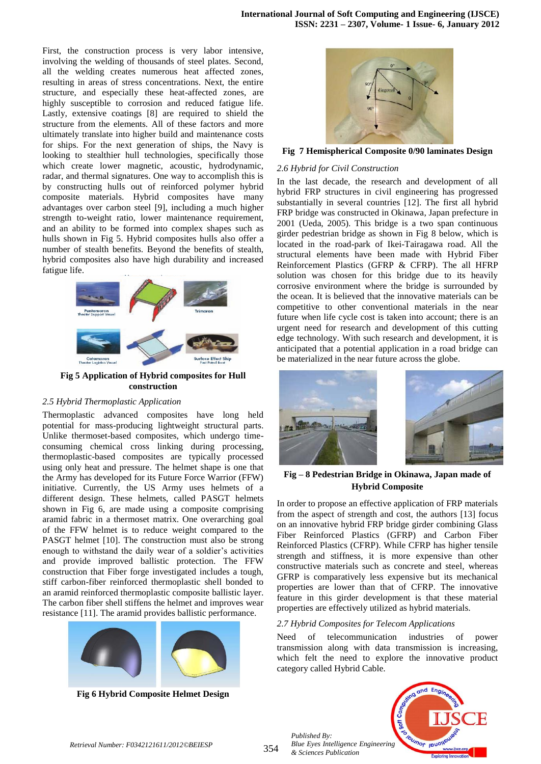First, the construction process is very labor intensive, involving the welding of thousands of steel plates. Second, all the welding creates numerous heat affected zones, resulting in areas of stress concentrations. Next, the entire structure, and especially these heat-affected zones, are highly susceptible to corrosion and reduced fatigue life. Lastly, extensive coatings [8] are required to shield the structure from the elements. All of these factors and more ultimately translate into higher build and maintenance costs for ships. For the next generation of ships, the Navy is looking to stealthier hull technologies, specifically those which create lower magnetic, acoustic, hydrodynamic, radar, and thermal signatures. One way to accomplish this is by constructing hulls out of reinforced polymer hybrid composite materials. Hybrid composites have many advantages over carbon steel [9], including a much higher strength to-weight ratio, lower maintenance requirement, and an ability to be formed into complex shapes such as hulls shown in Fig 5. Hybrid composites hulls also offer a number of stealth benefits. Beyond the benefits of stealth, hybrid composites also have high durability and increased fatigue life.



**Fig 5 Application of Hybrid composites for Hull construction**

## *2.5 Hybrid Thermoplastic Application*

Thermoplastic advanced composites have long held potential for mass-producing lightweight structural parts. Unlike thermoset-based composites, which undergo timeconsuming chemical cross linking during processing, thermoplastic-based composites are typically processed using only heat and pressure. The helmet shape is one that the Army has developed for its Future Force Warrior (FFW) initiative. Currently, the US Army uses helmets of a different design. These helmets, called PASGT helmets shown in Fig 6, are made using a composite comprising aramid fabric in a thermoset matrix. One overarching goal of the FFW helmet is to reduce weight compared to the PASGT helmet [10]. The construction must also be strong enough to withstand the daily wear of a soldier's activities and provide improved ballistic protection. The FFW construction that Fiber forge investigated includes a tough, stiff carbon-fiber reinforced thermoplastic shell bonded to an aramid reinforced thermoplastic composite ballistic layer. The carbon fiber shell stiffens the helmet and improves wear resistance [11]. The aramid provides ballistic performance.



**Fig 6 Hybrid Composite Helmet Design**



**Fig 7 Hemispherical Composite 0/90 laminates Design**

#### *2.6 Hybrid for Civil Construction*

In the last decade, the research and development of all hybrid FRP structures in civil engineering has progressed substantially in several countries [12]. The first all hybrid FRP bridge was constructed in Okinawa, Japan prefecture in 2001 (Ueda, 2005). This bridge is a two span continuous girder pedestrian bridge as shown in Fig 8 below, which is located in the road-park of Ikei-Tairagawa road. All the structural elements have been made with Hybrid Fiber Reinforcement Plastics (GFRP & CFRP). The all HFRP solution was chosen for this bridge due to its heavily corrosive environment where the bridge is surrounded by the ocean. It is believed that the innovative materials can be competitive to other conventional materials in the near future when life cycle cost is taken into account; there is an urgent need for research and development of this cutting edge technology. With such research and development, it is anticipated that a potential application in a road bridge can be materialized in the near future across the globe.



**Fig – 8 Pedestrian Bridge in Okinawa, Japan made of Hybrid Composite**

In order to propose an effective application of FRP materials from the aspect of strength and cost, the authors [13] focus on an innovative hybrid FRP bridge girder combining Glass Fiber Reinforced Plastics (GFRP) and Carbon Fiber Reinforced Plastics (CFRP). While CFRP has higher tensile strength and stiffness, it is more expensive than other constructive materials such as concrete and steel, whereas GFRP is comparatively less expensive but its mechanical properties are lower than that of CFRP. The innovative feature in this girder development is that these material properties are effectively utilized as hybrid materials.

## *2.7 Hybrid Composites for Telecom Applications*

Need of telecommunication industries of power transmission along with data transmission is increasing, which felt the need to explore the innovative product category called Hybrid Cable.

*Published By: Blue Eyes Intelligence Engineering & Sciences Publication*